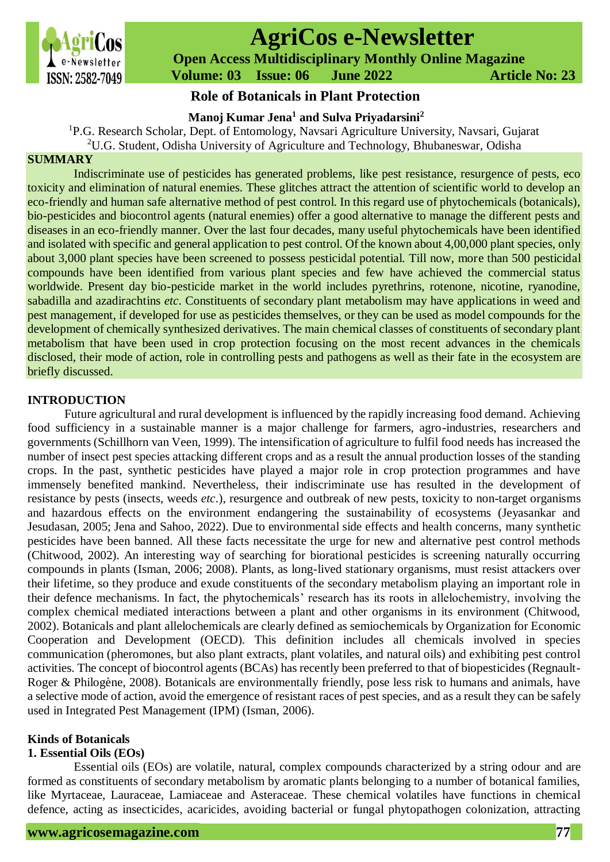

# **AgriCos e-Newsletter**

 **Open Access Multidisciplinary Monthly Online Magazine**

 **Volume: 03 Issue: 06 June 2022 Article No: 23**

# **Role of Botanicals in Plant Protection**

**Manoj Kumar Jena<sup>1</sup> and Sulva Priyadarsini<sup>2</sup>**

<sup>1</sup>P.G. Research Scholar, Dept. of Entomology, Navsari Agriculture University, Navsari, Gujarat

<sup>2</sup>U.G. Student, Odisha University of Agriculture and Technology, Bhubaneswar, Odisha

# **SUMMARY**

Indiscriminate use of pesticides has generated problems, like pest resistance, resurgence of pests, eco toxicity and elimination of natural enemies. These glitches attract the attention of scientific world to develop an eco-friendly and human safe alternative method of pest control. In this regard use of phytochemicals (botanicals), bio-pesticides and biocontrol agents (natural enemies) offer a good alternative to manage the different pests and diseases in an eco-friendly manner. Over the last four decades, many useful phytochemicals have been identified and isolated with specific and general application to pest control. Of the known about 4,00,000 plant species, only about 3,000 plant species have been screened to possess pesticidal potential. Till now, more than 500 pesticidal compounds have been identified from various plant species and few have achieved the commercial status worldwide. Present day bio-pesticide market in the world includes pyrethrins, rotenone, nicotine, ryanodine, sabadilla and azadirachtins *etc*. Constituents of secondary plant metabolism may have applications in weed and pest management, if developed for use as pesticides themselves, or they can be used as model compounds for the development of chemically synthesized derivatives. The main chemical classes of constituents of secondary plant metabolism that have been used in crop protection focusing on the most recent advances in the chemicals disclosed, their mode of action, role in controlling pests and pathogens as well as their fate in the ecosystem are briefly discussed.

# **INTRODUCTION**

Future agricultural and rural development is influenced by the rapidly increasing food demand. Achieving food sufficiency in a sustainable manner is a major challenge for farmers, agro-industries, researchers and governments (Schillhorn van Veen, 1999). The intensification of agriculture to fulfil food needs has increased the number of insect pest species attacking different crops and as a result the annual production losses of the standing crops. In the past, synthetic pesticides have played a major role in crop protection programmes and have immensely benefited mankind. Nevertheless, their indiscriminate use has resulted in the development of resistance by pests (insects, weeds *etc*.), resurgence and outbreak of new pests, toxicity to non-target organisms and hazardous effects on the environment endangering the sustainability of ecosystems (Jeyasankar and Jesudasan, 2005; Jena and Sahoo, 2022). Due to environmental side effects and health concerns, many synthetic pesticides have been banned. All these facts necessitate the urge for new and alternative pest control methods (Chitwood, 2002). An interesting way of searching for biorational pesticides is screening naturally occurring compounds in plants (Isman, 2006; 2008). Plants, as long-lived stationary organisms, must resist attackers over their lifetime, so they produce and exude constituents of the secondary metabolism playing an important role in their defence mechanisms. In fact, the phytochemicals' research has its roots in allelochemistry, involving the complex chemical mediated interactions between a plant and other organisms in its environment (Chitwood, 2002). Botanicals and plant allelochemicals are clearly defined as semiochemicals by Organization for Economic Cooperation and Development (OECD). This definition includes all chemicals involved in species communication (pheromones, but also plant extracts, plant volatiles, and natural oils) and exhibiting pest control activities. The concept of biocontrol agents (BCAs) has recently been preferred to that of biopesticides (Regnault-Roger & Philogène, 2008). Botanicals are environmentally friendly, pose less risk to humans and animals, have a selective mode of action, avoid the emergence of resistant races of pest species, and as a result they can be safely used in Integrated Pest Management (IPM) (Isman, 2006).

# **Kinds of Botanicals**

# **1. Essential Oils (EOs)**

Essential oils (EOs) are volatile, natural, complex compounds characterized by a string odour and are formed as constituents of secondary metabolism by aromatic plants belonging to a number of botanical families, like Myrtaceae, Lauraceae, Lamiaceae and Asteraceae. These chemical volatiles have functions in chemical defence, acting as insecticides, acaricides, avoiding bacterial or fungal phytopathogen colonization, attracting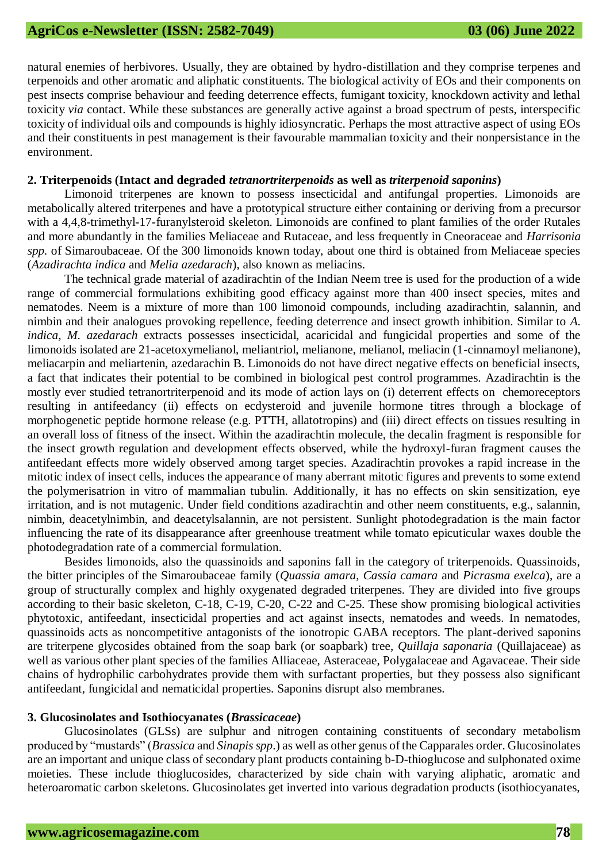natural enemies of herbivores. Usually, they are obtained by hydro-distillation and they comprise terpenes and terpenoids and other aromatic and aliphatic constituents. The biological activity of EOs and their components on pest insects comprise behaviour and feeding deterrence effects, fumigant toxicity, knockdown activity and lethal toxicity *via* contact. While these substances are generally active against a broad spectrum of pests, interspecific toxicity of individual oils and compounds is highly idiosyncratic. Perhaps the most attractive aspect of using EOs and their constituents in pest management is their favourable mammalian toxicity and their nonpersistance in the environment.

#### **2. Triterpenoids (Intact and degraded** *tetranortriterpenoids* **as well as** *triterpenoid saponins***)**

Limonoid triterpenes are known to possess insecticidal and antifungal properties. Limonoids are metabolically altered triterpenes and have a prototypical structure either containing or deriving from a precursor with a 4,4,8-trimethyl-17-furanylsteroid skeleton. Limonoids are confined to plant families of the order Rutales and more abundantly in the families Meliaceae and Rutaceae, and less frequently in Cneoraceae and *Harrisonia spp.* of Simaroubaceae. Of the 300 limonoids known today, about one third is obtained from Meliaceae species (*Azadirachta indica* and *Melia azedarach*), also known as meliacins.

The technical grade material of azadirachtin of the Indian Neem tree is used for the production of a wide range of commercial formulations exhibiting good efficacy against more than 400 insect species, mites and nematodes. Neem is a mixture of more than 100 limonoid compounds, including azadirachtin, salannin, and nimbin and their analogues provoking repellence, feeding deterrence and insect growth inhibition. Similar to *A. indica*, *M. azedarach* extracts possesses insecticidal, acaricidal and fungicidal properties and some of the limonoids isolated are 21-acetoxymelianol, meliantriol, melianone, melianol, meliacin (1-cinnamoyl melianone), meliacarpin and meliartenin, azedarachin B. Limonoids do not have direct negative effects on beneficial insects, a fact that indicates their potential to be combined in biological pest control programmes. Azadirachtin is the mostly ever studied tetranortriterpenoid and its mode of action lays on (i) deterrent effects on chemoreceptors resulting in antifeedancy (ii) effects on ecdysteroid and juvenile hormone titres through a blockage of morphogenetic peptide hormone release (e.g. PTTH, allatotropins) and (iii) direct effects on tissues resulting in an overall loss of fitness of the insect. Within the azadirachtin molecule, the decalin fragment is responsible for the insect growth regulation and development effects observed, while the hydroxyl-furan fragment causes the antifeedant effects more widely observed among target species. Azadirachtin provokes a rapid increase in the mitotic index of insect cells, induces the appearance of many aberrant mitotic figures and prevents to some extend the polymerisatrion in vitro of mammalian tubulin. Additionally, it has no effects on skin sensitization, eye irritation, and is not mutagenic. Under field conditions azadirachtin and other neem constituents, e.g., salannin, nimbin, deacetylnimbin, and deacetylsalannin, are not persistent. Sunlight photodegradation is the main factor influencing the rate of its disappearance after greenhouse treatment while tomato epicuticular waxes double the photodegradation rate of a commercial formulation.

Besides limonoids, also the quassinoids and saponins fall in the category of triterpenoids. Quassinoids, the bitter principles of the Simaroubaceae family (*Quassia amara*, *Cassia camara* and *Picrasma exelca*), are a group of structurally complex and highly oxygenated degraded triterpenes. They are divided into five groups according to their basic skeleton, C-18, C-19, C-20, C-22 and C-25. These show promising biological activities phytotoxic, antifeedant, insecticidal properties and act against insects, nematodes and weeds. In nematodes, quassinoids acts as noncompetitive antagonists of the ionotropic GABA receptors. The plant-derived saponins are triterpene glycosides obtained from the soap bark (or soapbark) tree, *Quillaja saponaria* (Quillajaceae) as well as various other plant species of the families Alliaceae, Asteraceae, Polygalaceae and Agavaceae. Their side chains of hydrophilic carbohydrates provide them with surfactant properties, but they possess also significant antifeedant, fungicidal and nematicidal properties. Saponins disrupt also membranes.

## **3. Glucosinolates and Isothiocyanates (***Brassicaceae***)**

Glucosinolates (GLSs) are sulphur and nitrogen containing constituents of secondary metabolism produced by "mustards" (*Brassica* and *Sinapis spp*.) as well as other genus of the Capparales order. Glucosinolates are an important and unique class of secondary plant products containing b-D-thioglucose and sulphonated oxime moieties. These include thioglucosides, characterized by side chain with varying aliphatic, aromatic and heteroaromatic carbon skeletons. Glucosinolates get inverted into various degradation products (isothiocyanates,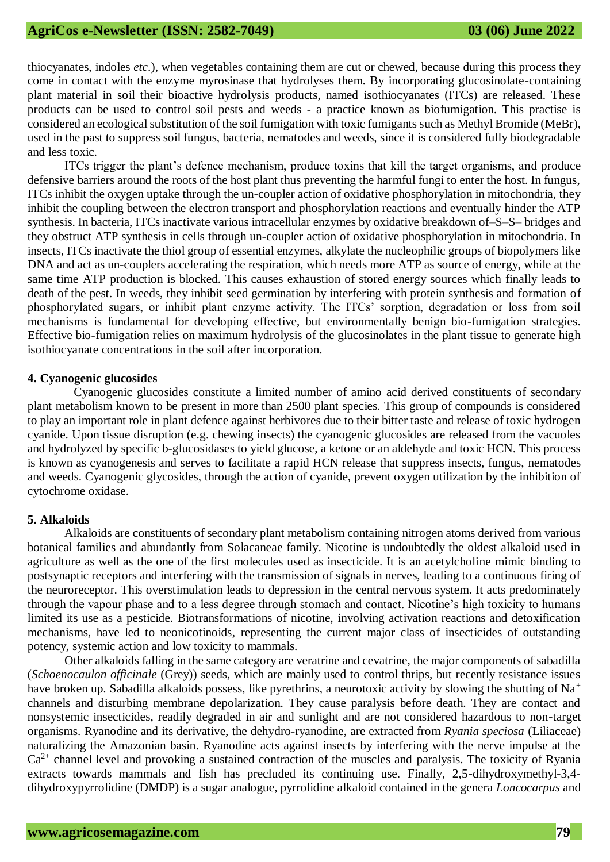thiocyanates, indoles *etc*.), when vegetables containing them are cut or chewed, because during this process they come in contact with the enzyme myrosinase that hydrolyses them. By incorporating glucosinolate-containing plant material in soil their bioactive hydrolysis products, named isothiocyanates (ITCs) are released. These products can be used to control soil pests and weeds - a practice known as biofumigation. This practise is considered an ecological substitution of the soil fumigation with toxic fumigants such as Methyl Bromide (MeBr), used in the past to suppress soil fungus, bacteria, nematodes and weeds, since it is considered fully biodegradable and less toxic.

ITCs trigger the plant's defence mechanism, produce toxins that kill the target organisms, and produce defensive barriers around the roots of the host plant thus preventing the harmful fungi to enter the host. In fungus, ITCs inhibit the oxygen uptake through the un-coupler action of oxidative phosphorylation in mitochondria, they inhibit the coupling between the electron transport and phosphorylation reactions and eventually hinder the ATP synthesis. In bacteria, ITCs inactivate various intracellular enzymes by oxidative breakdown of–S–S– bridges and they obstruct ATP synthesis in cells through un-coupler action of oxidative phosphorylation in mitochondria. In insects, ITCs inactivate the thiol group of essential enzymes, alkylate the nucleophilic groups of biopolymers like DNA and act as un-couplers accelerating the respiration, which needs more ATP as source of energy, while at the same time ATP production is blocked. This causes exhaustion of stored energy sources which finally leads to death of the pest. In weeds, they inhibit seed germination by interfering with protein synthesis and formation of phosphorylated sugars, or inhibit plant enzyme activity. The ITCs' sorption, degradation or loss from soil mechanisms is fundamental for developing effective, but environmentally benign bio-fumigation strategies. Effective bio-fumigation relies on maximum hydrolysis of the glucosinolates in the plant tissue to generate high isothiocyanate concentrations in the soil after incorporation.

#### **4. Cyanogenic glucosides**

Cyanogenic glucosides constitute a limited number of amino acid derived constituents of secondary plant metabolism known to be present in more than 2500 plant species. This group of compounds is considered to play an important role in plant defence against herbivores due to their bitter taste and release of toxic hydrogen cyanide. Upon tissue disruption (e.g. chewing insects) the cyanogenic glucosides are released from the vacuoles and hydrolyzed by specific b-glucosidases to yield glucose, a ketone or an aldehyde and toxic HCN. This process is known as cyanogenesis and serves to facilitate a rapid HCN release that suppress insects, fungus, nematodes and weeds. Cyanogenic glycosides, through the action of cyanide, prevent oxygen utilization by the inhibition of cytochrome oxidase.

#### **5. Alkaloids**

Alkaloids are constituents of secondary plant metabolism containing nitrogen atoms derived from various botanical families and abundantly from Solacaneae family. Nicotine is undoubtedly the oldest alkaloid used in agriculture as well as the one of the first molecules used as insecticide. It is an acetylcholine mimic binding to postsynaptic receptors and interfering with the transmission of signals in nerves, leading to a continuous firing of the neuroreceptor. This overstimulation leads to depression in the central nervous system. It acts predominately through the vapour phase and to a less degree through stomach and contact. Nicotine's high toxicity to humans limited its use as a pesticide. Biotransformations of nicotine, involving activation reactions and detoxification mechanisms, have led to neonicotinoids, representing the current major class of insecticides of outstanding potency, systemic action and low toxicity to mammals.

Other alkaloids falling in the same category are veratrine and cevatrine, the major components of sabadilla (*Schoenocaulon officinale* (Grey)) seeds, which are mainly used to control thrips, but recently resistance issues have broken up. Sabadilla alkaloids possess, like pyrethrins, a neurotoxic activity by slowing the shutting of Na<sup>+</sup> channels and disturbing membrane depolarization. They cause paralysis before death. They are contact and nonsystemic insecticides, readily degraded in air and sunlight and are not considered hazardous to non-target organisms. Ryanodine and its derivative, the dehydro-ryanodine, are extracted from *Ryania speciosa* (Liliaceae) naturalizing the Amazonian basin. Ryanodine acts against insects by interfering with the nerve impulse at the  $Ca<sup>2+</sup>$  channel level and provoking a sustained contraction of the muscles and paralysis. The toxicity of Ryania extracts towards mammals and fish has precluded its continuing use. Finally, 2,5-dihydroxymethyl-3,4 dihydroxypyrrolidine (DMDP) is a sugar analogue, pyrrolidine alkaloid contained in the genera *Loncocarpus* and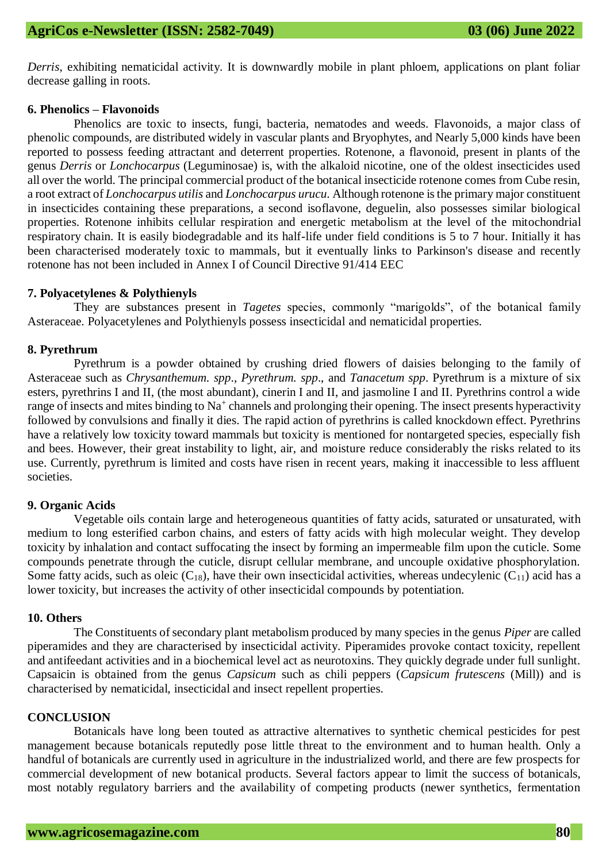*Derris*, exhibiting nematicidal activity. It is downwardly mobile in plant phloem, applications on plant foliar decrease galling in roots.

## **6. Phenolics – Flavonoids**

Phenolics are toxic to insects, fungi, bacteria, nematodes and weeds. Flavonoids, a major class of phenolic compounds, are distributed widely in vascular plants and Bryophytes, and Nearly 5,000 kinds have been reported to possess feeding attractant and deterrent properties. Rotenone, a flavonoid, present in plants of the genus *Derris* or *Lonchocarpus* (Leguminosae) is, with the alkaloid nicotine, one of the oldest insecticides used all over the world. The principal commercial product of the botanical insecticide rotenone comes from Cube resin, a root extract of *Lonchocarpus utilis* and *Lonchocarpus urucu*. Although rotenone is the primary major constituent in insecticides containing these preparations, a second isoflavone, deguelin, also possesses similar biological properties. Rotenone inhibits cellular respiration and energetic metabolism at the level of the mitochondrial respiratory chain. It is easily biodegradable and its half-life under field conditions is 5 to 7 hour. Initially it has been characterised moderately toxic to mammals, but it eventually links to Parkinson's disease and recently rotenone has not been included in Annex I of Council Directive 91/414 EEC

## **7. Polyacetylenes & Polythienyls**

They are substances present in *Tagetes* species, commonly "marigolds", of the botanical family Asteraceae. Polyacetylenes and Polythienyls possess insecticidal and nematicidal properties.

## **8. Pyrethrum**

Pyrethrum is a powder obtained by crushing dried flowers of daisies belonging to the family of Asteraceae such as *Chrysanthemum. spp*., *Pyrethrum. spp*., and *Tanacetum spp*. Pyrethrum is a mixture of six esters, pyrethrins I and II, (the most abundant), cinerin I and II, and jasmoline I and II. Pyrethrins control a wide range of insects and mites binding to Na<sup>+</sup> channels and prolonging their opening. The insect presents hyperactivity followed by convulsions and finally it dies. The rapid action of pyrethrins is called knockdown effect. Pyrethrins have a relatively low toxicity toward mammals but toxicity is mentioned for nontargeted species, especially fish and bees. However, their great instability to light, air, and moisture reduce considerably the risks related to its use. Currently, pyrethrum is limited and costs have risen in recent years, making it inaccessible to less affluent societies.

## **9. Organic Acids**

Vegetable oils contain large and heterogeneous quantities of fatty acids, saturated or unsaturated, with medium to long esterified carbon chains, and esters of fatty acids with high molecular weight. They develop toxicity by inhalation and contact suffocating the insect by forming an impermeable film upon the cuticle. Some compounds penetrate through the cuticle, disrupt cellular membrane, and uncouple oxidative phosphorylation. Some fatty acids, such as oleic  $(C_{18})$ , have their own insecticidal activities, whereas undecylenic  $(C_{11})$  acid has a lower toxicity, but increases the activity of other insecticidal compounds by potentiation.

### **10. Others**

The Constituents of secondary plant metabolism produced by many species in the genus *Piper* are called piperamides and they are characterised by insecticidal activity. Piperamides provoke contact toxicity, repellent and antifeedant activities and in a biochemical level act as neurotoxins. They quickly degrade under full sunlight. Capsaicin is obtained from the genus *Capsicum* such as chili peppers (*Capsicum frutescens* (Mill)) and is characterised by nematicidal, insecticidal and insect repellent properties.

## **CONCLUSION**

Botanicals have long been touted as attractive alternatives to synthetic chemical pesticides for pest management because botanicals reputedly pose little threat to the environment and to human health. Only a handful of botanicals are currently used in agriculture in the industrialized world, and there are few prospects for commercial development of new botanical products. Several factors appear to limit the success of botanicals, most notably regulatory barriers and the availability of competing products (newer synthetics, fermentation